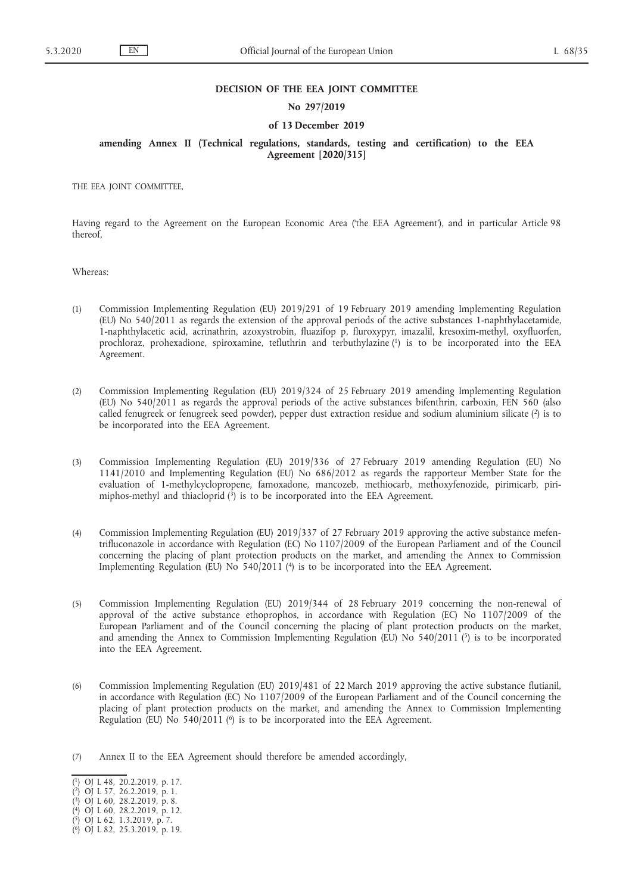## **DECISION OF THE EEA JOINT COMMITTEE**

## **No 297/2019**

#### **of 13 December 2019**

**amending Annex II (Technical regulations, standards, testing and certification) to the EEA Agreement [2020/315]**

THE EEA JOINT COMMITTEE,

Having regard to the Agreement on the European Economic Area ('the EEA Agreement'), and in particular Article 98 thereof,

Whereas:

- (1) Commission Implementing Regulation (EU) 2019/291 of 19 February 2019 amending Implementing Regulation (EU) No 540/2011 as regards the extension of the approval periods of the active substances 1-naphthylacetamide, 1-naphthylacetic acid, acrinathrin, azoxystrobin, fluazifop p, fluroxypyr, imazalil, kresoxim-methyl, oxyfluorfen, prochloraz, prohexadione, spiroxamine, tefluthrin and terbuthylazine (1) is to be incorporated into the EEA Agreement.
- (2) Commission Implementing Regulation (EU) 2019/324 of 25 February 2019 amending Implementing Regulation (EU) No 540/2011 as regards the approval periods of the active substances bifenthrin, carboxin, FEN 560 (also called fenugreek or fenugreek seed powder), pepper dust extraction residue and sodium aluminium silicate (2) is to be incorporated into the EEA Agreement.
- (3) Commission Implementing Regulation (EU) 2019/336 of 27 February 2019 amending Regulation (EU) No 1141/2010 and Implementing Regulation (EU) No 686/2012 as regards the rapporteur Member State for the evaluation of 1-methylcyclopropene, famoxadone, mancozeb, methiocarb, methoxyfenozide, pirimicarb, pirimiphos-methyl and thiacloprid  $(3)$  is to be incorporated into the EEA Agreement.
- (4) Commission Implementing Regulation (EU) 2019/337 of 27 February 2019 approving the active substance mefentrifluconazole in accordance with Regulation (EC) No 1107/2009 of the European Parliament and of the Council concerning the placing of plant protection products on the market, and amending the Annex to Commission Implementing Regulation (EU) No 540/2011 (4) is to be incorporated into the EEA Agreement.
- (5) Commission Implementing Regulation (EU) 2019/344 of 28 February 2019 concerning the non-renewal of approval of the active substance ethoprophos, in accordance with Regulation (EC) No 1107/2009 of the European Parliament and of the Council concerning the placing of plant protection products on the market, and amending the Annex to Commission Implementing Regulation (EU) No  $540/2011$  (5) is to be incorporated into the EEA Agreement.
- (6) Commission Implementing Regulation (EU) 2019/481 of 22 March 2019 approving the active substance flutianil, in accordance with Regulation (EC) No 1107/2009 of the European Parliament and of the Council concerning the placing of plant protection products on the market, and amending the Annex to Commission Implementing Regulation (EU) No  $540/2011$  (<sup>6</sup>) is to be incorporated into the EEA Agreement.
- (7) Annex II to the EEA Agreement should therefore be amended accordingly,

<sup>(</sup> 1) OJ L 48, 20.2.2019, p. 17.

<sup>(</sup> 2) OJ L 57, 26.2.2019, p. 1.

<sup>(</sup> 3) OJ L 60, 28.2.2019, p. 8.

<sup>(</sup> 4) OJ L 60, 28.2.2019, p. 12.

<sup>(</sup> 5) OJ L 62, 1.3.2019, p. 7.

<sup>(</sup> 6) OJ L 82, 25.3.2019, p. 19.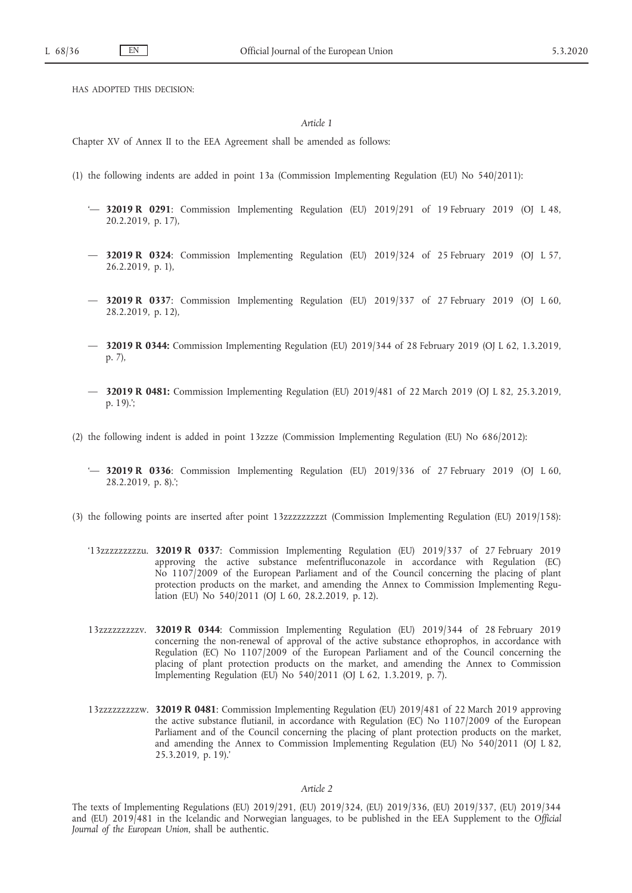HAS ADOPTED THIS DECISION:

# *Article 1*

Chapter XV of Annex II to the EEA Agreement shall be amended as follows:

- (1) the following indents are added in point 13a (Commission Implementing Regulation (EU) No 540/2011):
	- '— **32019 R 0291**: Commission Implementing Regulation (EU) 2019/291 of 19 February 2019 (OJ L 48, 20.2.2019, p. 17),
	- — **32019 R 0324**: Commission Implementing Regulation (EU) 2019/324 of 25 February 2019 (OJ L 57, 26.2.2019, p. 1),
	- — **32019 R 0337**: Commission Implementing Regulation (EU) 2019/337 of 27 February 2019 (OJ L 60, 28.2.2019, p. 12),
	- — **32019 R 0344:** Commission Implementing Regulation (EU) 2019/344 of 28 February 2019 (OJ L 62, 1.3.2019, p. 7),
	- — **32019 R 0481:** Commission Implementing Regulation (EU) 2019/481 of 22 March 2019 (OJ L 82, 25.3.2019, p. 19).';
- (2) the following indent is added in point 13zzze (Commission Implementing Regulation (EU) No 686/2012):
	- '— **32019 R 0336**: Commission Implementing Regulation (EU) 2019/336 of 27 February 2019 (OJ L 60, 28.2.2019, p. 8).';
- (3) the following points are inserted after point 13zzzzzzzzzt (Commission Implementing Regulation (EU) 2019/158):
	- '13zzzzzzzzzu. **32019 R 0337**: Commission Implementing Regulation (EU) 2019/337 of 27 February 2019 approving the active substance mefentrifluconazole in accordance with Regulation (EC) No 1107/2009 of the European Parliament and of the Council concerning the placing of plant protection products on the market, and amending the Annex to Commission Implementing Regulation (EU) No 540/2011 (OJ L 60, 28.2.2019, p. 12).
	- 13zzzzzzzzzv. **32019 R 0344**: Commission Implementing Regulation (EU) 2019/344 of 28 February 2019 concerning the non-renewal of approval of the active substance ethoprophos, in accordance with Regulation (EC) No 1107/2009 of the European Parliament and of the Council concerning the placing of plant protection products on the market, and amending the Annex to Commission Implementing Regulation (EU) No 540/2011 (OJ L 62, 1.3.2019, p. 7).
	- 13zzzzzzzzzw. **32019 R 0481**: Commission Implementing Regulation (EU) 2019/481 of 22 March 2019 approving the active substance flutianil, in accordance with Regulation (EC) No 1107/2009 of the European Parliament and of the Council concerning the placing of plant protection products on the market, and amending the Annex to Commission Implementing Regulation (EU) No 540/2011 (OJ L 82, 25.3.2019, p. 19).'

*Article 2*

The texts of Implementing Regulations (EU) 2019/291, (EU) 2019/324, (EU) 2019/336, (EU) 2019/337, (EU) 2019/344 and (EU) 2019/481 in the Icelandic and Norwegian languages, to be published in the EEA Supplement to the *Official Journal of the European Union*, shall be authentic.